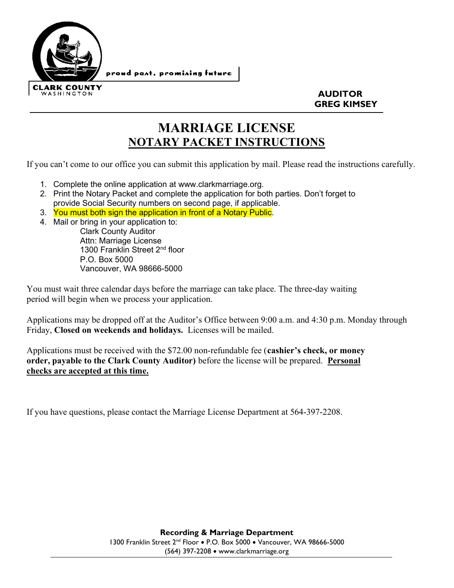

 $\overline{a}$ 

 AUDITOR GREG KIMSEY

## MARRIAGE LICENSE NOTARY PACKET INSTRUCTIONS

If you can't come to our office you can submit this application by mail. Please read the instructions carefully.

- 1. Complete the online application at www.clarkmarriage.org.
- 2. Print the Notary Packet and complete the application for both parties. Don't forget to provide Social Security numbers on second page, if applicable.
- 3. You must both sign the application in front of a Notary Public.
- 4. Mail or bring in your application to:

Clark County Auditor Attn: Marriage License 1300 Franklin Street 2<sup>nd</sup> floor P.O. Box 5000 Vancouver, WA 98666-5000

You must wait three calendar days before the marriage can take place. The three-day waiting period will begin when we process your application.

Applications may be dropped off at the Auditor's Office between 9:00 a.m. and 4:30 p.m. Monday through Friday, Closed on weekends and holidays. Licenses will be mailed.

Applications must be received with the \$72.00 non-refundable fee (cashier's check, or money order, payable to the Clark County Auditor) before the license will be prepared. Personal checks are accepted at this time.

If you have questions, please contact the Marriage License Department at 564-397-2208.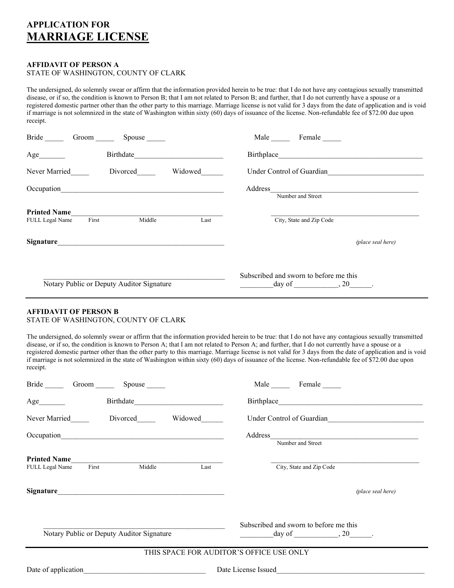### APPLICATION FOR MARRIAGE LICENSE

#### AFFIDAVIT OF PERSON A STATE OF WASHINGTON, COUNTY OF CLARK

The undersigned, do solemnly swear or affirm that the information provided herein to be true: that I do not have any contagious sexually transmitted disease, or if so, the condition is known to Person B; that I am not related to Person B; and further, that I do not currently have a spouse or a registered domestic partner other than the other party to this marriage. Marriage license is not valid for 3 days from the date of application and is void if marriage is not solemnized in the state of Washington within sixty (60) days of issuance of the license. Non-refundable fee of \$72.00 due upon receipt.

| Bride<br>Groom                         | Spouse                                    |         | Male<br>Female                                           |  |
|----------------------------------------|-------------------------------------------|---------|----------------------------------------------------------|--|
| Age                                    | Birthdate                                 |         | Birthplace                                               |  |
| Never Married                          | Divorced                                  | Widowed | Under Control of Guardian                                |  |
| Occupation                             |                                           |         | Address<br>Number and Street                             |  |
| <b>Printed Name</b><br>FULL Legal Name | Middle<br>First                           | Last    | City, State and Zip Code                                 |  |
| Signature                              |                                           |         | (place seal here)                                        |  |
|                                        | Notary Public or Deputy Auditor Signature |         | Subscribed and sworn to before me this<br>$day of$ , 20. |  |

#### AFFIDAVIT OF PERSON B

#### STATE OF WASHINGTON, COUNTY OF CLARK

The undersigned, do solemnly swear or affirm that the information provided herein to be true: that I do not have any contagious sexually transmitted disease, or if so, the condition is known to Person A; that I am not related to Person A; and further, that I do not currently have a spouse or a registered domestic partner other than the other party to this marriage. Marriage license is not valid for 3 days from the date of application and is void if marriage is not solemnized in the state of Washington within sixty (60) days of issuance of the license. Non-refundable fee of \$72.00 due upon receipt.

| Bride Groom Spouse                                                | Male Female                                                                    |  |  |  |  |
|-------------------------------------------------------------------|--------------------------------------------------------------------------------|--|--|--|--|
| Birthdate<br>Age                                                  |                                                                                |  |  |  |  |
| Never Married Divorced<br>Widowed                                 | Under Control of Guardian                                                      |  |  |  |  |
|                                                                   | Number and Street                                                              |  |  |  |  |
| <b>Printed Name</b><br>Middle<br>First<br>Last<br>FULL Legal Name | City, State and Zip Code                                                       |  |  |  |  |
|                                                                   | (place seal here)                                                              |  |  |  |  |
| Notary Public or Deputy Auditor Signature                         | Subscribed and sworn to before me this<br>$\frac{day}{dx}$ of $\frac{1}{20}$ . |  |  |  |  |
| THIS SPACE FOR AUDITOR'S OFFICE USE ONLY                          |                                                                                |  |  |  |  |
| Date of application                                               | Date License Issued                                                            |  |  |  |  |